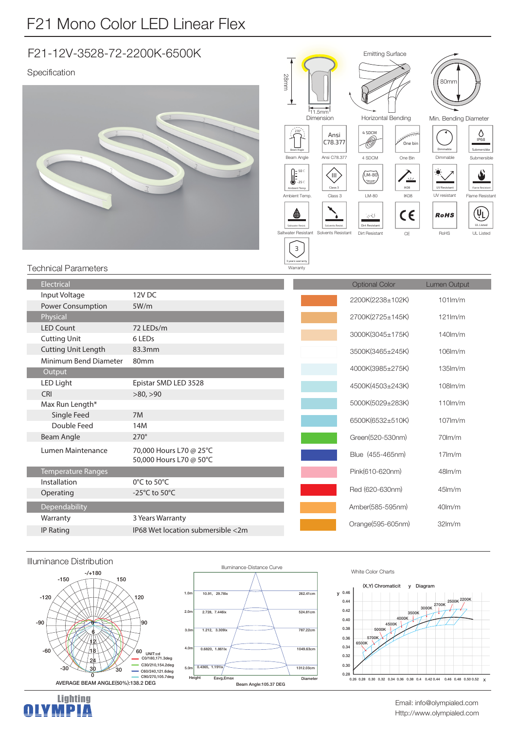## F21-12V-3528-72-2200K-6500K

## Specification





## **Technical Parameters**

| Electrical                 |                                                    | <b>Optional Color</b> | <b>Lumen Output</b> |
|----------------------------|----------------------------------------------------|-----------------------|---------------------|
| Input Voltage              | 12V <sub>DC</sub>                                  | 2200K(2238±102K)      | $101$ $\text{Im/m}$ |
| Power Consumption          | 5W/m                                               |                       |                     |
| Physical                   |                                                    | 2700K(2725±145K)      | $121$ m/m           |
| <b>LED Count</b>           | 72 LEDs/m                                          |                       | $140$ m/m           |
| <b>Cutting Unit</b>        | 6 LED <sub>s</sub>                                 | 3000K(3045±175K)      |                     |
| <b>Cutting Unit Length</b> | 83.3mm                                             | 3500K(3465±245K)      | 106lm/m             |
| Minimum Bend Diameter      | 80 <sub>mm</sub>                                   |                       |                     |
| Output                     |                                                    | 4000K(3985±275K)      | $135$ $\text{Im/m}$ |
| LED Light                  | Epistar SMD LED 3528                               | 4500K(4503±243K)      | $108$ m/m           |
| CRI                        | >80, >90                                           |                       |                     |
| Max Run Length*            |                                                    | 5000K(5029±283K)      | $110$ m/m           |
| Single Feed                | 7M                                                 | 6500K(6532±510K)      | $107$ m/m           |
| Double Feed                | 14M                                                |                       |                     |
| Beam Angle                 | $270^\circ$                                        | Green(520-530nm)      | $70$ m/m            |
| Lumen Maintenance          | 70,000 Hours L70 @ 25°C<br>50,000 Hours L70 @ 50°C | Blue (455-465nm)      | $17$ m/m            |
| <b>Temperature Ranges</b>  |                                                    | Pink(610-620nm)       | $48$ lm/m           |
| Installation               | $0^{\circ}$ C to 50 $^{\circ}$ C                   |                       |                     |
| Operating                  | -25 $^{\circ}$ C to 50 $^{\circ}$ C                | Red (620-630nm)       | $45$ m/m            |
| Dependability              |                                                    | Amber(585-595nm)      | $40lm$ /m           |
| Warranty                   | 3 Years Warranty                                   |                       | 32 <sub>lm</sub> /m |
| <b>IP Rating</b>           | IP68 Wet location submersible <2m                  | Orange(595-605nm)     |                     |
|                            |                                                    |                       |                     |



**Lighting** 

OLYMPIA







Email: info@olympialed.com Http://www.olympialed.com